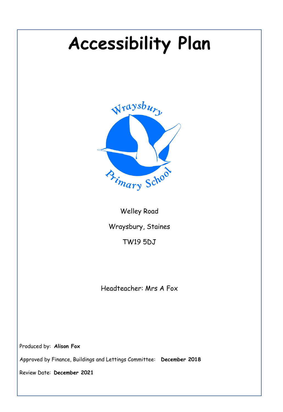# **Accessibility Plan**



Welley Road Wraysbury, Staines TW19 5DJ

Headteacher: Mrs A Fox

Produced by: **Alison Fox**

Approved by Finance, Buildings and Lettings Committee: **December 2018**

Review Date: **December 2021**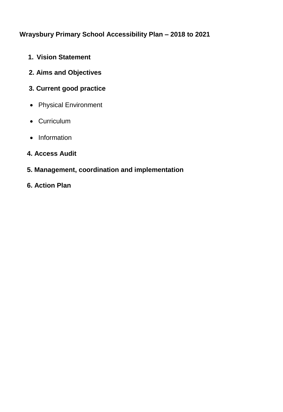## **Wraysbury Primary School Accessibility Plan – 2018 to 2021**

- **1. Vision Statement**
- **2. Aims and Objectives**
- **3. Current good practice**
- Physical Environment
- Curriculum
- Information
- **4. Access Audit**
- **5. Management, coordination and implementation**
- **6. Action Plan**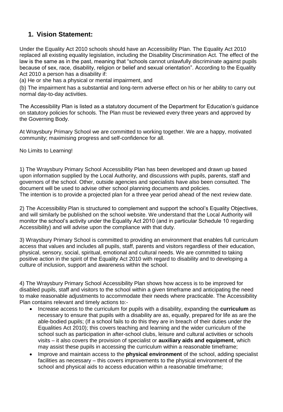## **1. Vision Statement:**

Under the Equality Act 2010 schools should have an Accessibility Plan. The Equality Act 2010 replaced all existing equality legislation, including the Disability Discrimination Act. The effect of the law is the same as in the past, meaning that "schools cannot unlawfully discriminate against pupils because of sex, race, disability, religion or belief and sexual orientation". According to the Equality Act 2010 a person has a disability if:

(a) He or she has a physical or mental impairment, and

(b) The impairment has a substantial and long-term adverse effect on his or her ability to carry out normal day-to-day activities.

The Accessibility Plan is listed as a statutory document of the Department for Education's guidance on statutory policies for schools. The Plan must be reviewed every three years and approved by the Governing Body.

At Wraysbury Primary School we are committed to working together. We are a happy, motivated community; maximising progress and self-confidence for all.

No Limits to Learning!

1) The Wraysbury Primary School Accessibility Plan has been developed and drawn up based upon information supplied by the Local Authority, and discussions with pupils, parents, staff and governors of the school. Other, outside agencies and specialists have also been consulted. The document will be used to advise other school planning documents and policies. The intention is to provide a projected plan for a three year period ahead of the next review date.

2) The Accessibility Plan is structured to complement and support the school's Equality Objectives, and will similarly be published on the school website. We understand that the Local Authority will monitor the school's activity under the Equality Act 2010 (and in particular Schedule 10 regarding Accessibility) and will advise upon the compliance with that duty.

3) Wraysbury Primary School is committed to providing an environment that enables full curriculum access that values and includes all pupils, staff, parents and visitors regardless of their education, physical, sensory, social, spiritual, emotional and cultural needs. We are committed to taking positive action in the spirit of the Equality Act 2010 with regard to disability and to developing a culture of inclusion, support and awareness within the school.

4) The Wraysbury Primary School Accessibility Plan shows how access is to be improved for disabled pupils, staff and visitors to the school within a given timeframe and anticipating the need to make reasonable adjustments to accommodate their needs where practicable. The Accessibility Plan contains relevant and timely actions to:-

- Increase access to the curriculum for pupils with a disability, expanding the **curriculum** as necessary to ensure that pupils with a disability are as, equally, prepared for life as are the able-bodied pupils; (If a school fails to do this they are in breach of their duties under the Equalities Act 2010); this covers teaching and learning and the wider curriculum of the school such as participation in after-school clubs, leisure and cultural activities or schools visits – it also covers the provision of specialist or **auxiliary aids and equipment**, which may assist these pupils in accessing the curriculum within a reasonable timeframe;
- Improve and maintain access to the **physical environment** of the school, adding specialist facilities as necessary – this covers improvements to the physical environment of the school and physical aids to access education within a reasonable timeframe;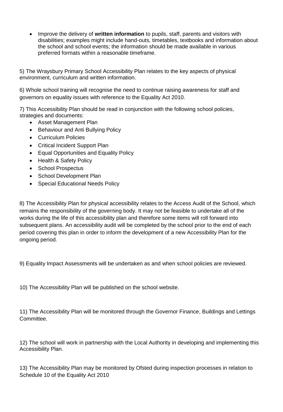Improve the delivery of **written information** to pupils, staff, parents and visitors with disabilities; examples might include hand-outs, timetables, textbooks and information about the school and school events; the information should be made available in various preferred formats within a reasonable timeframe.

5) The Wraysbury Primary School Accessibility Plan relates to the key aspects of physical environment, curriculum and written information.

6) Whole school training will recognise the need to continue raising awareness for staff and governors on equality issues with reference to the Equality Act 2010.

7) This Accessibility Plan should be read in conjunction with the following school policies, strategies and documents:

- Asset Management Plan
- Behaviour and Anti Bullying Policy
- Curriculum Policies
- Critical Incident Support Plan
- Equal Opportunities and Equality Policy
- Health & Safety Policy
- School Prospectus
- School Development Plan
- Special Educational Needs Policy

8) The Accessibility Plan for physical accessibility relates to the Access Audit of the School, which remains the responsibility of the governing body. It may not be feasible to undertake all of the works during the life of this accessibility plan and therefore some items will roll forward into subsequent plans. An accessibility audit will be completed by the school prior to the end of each period covering this plan in order to inform the development of a new Accessibility Plan for the ongoing period.

9) Equality Impact Assessments will be undertaken as and when school policies are reviewed.

10) The Accessibility Plan will be published on the school website.

11) The Accessibility Plan will be monitored through the Governor Finance, Buildings and Lettings Committee.

12) The school will work in partnership with the Local Authority in developing and implementing this Accessibility Plan.

13) The Accessibility Plan may be monitored by Ofsted during inspection processes in relation to Schedule 10 of the Equality Act 2010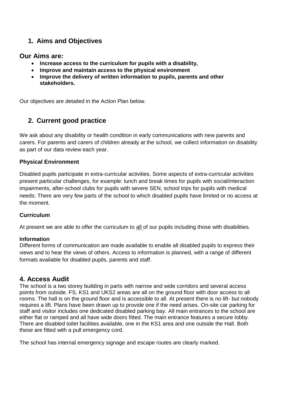## **1. Aims and Objectives**

#### **Our Aims are:**

- **Increase access to the curriculum for pupils with a disability,**
- **Improve and maintain access to the physical environment**
- **Improve the delivery of written information to pupils, parents and other stakeholders.**

Our objectives are detailed in the Action Plan below.

## **2. Current good practice**

We ask about any disability or health condition in early communications with new parents and carers. For parents and carers of children already at the school, we collect information on disability as part of our data review each year.

#### **Physical Environment**

Disabled pupils participate in extra-curricular activities. Some aspects of extra-curricular activities present particular challenges, for example: lunch and break times for pupils with social/interaction impairments, after-school clubs for pupils with severe SEN, school trips for pupils with medical needs; There are very few parts of the school to which disabled pupils have limited or no access at the moment.

#### **Curriculum**

At present we are able to offer the curriculum to all of our pupils including those with disabilities.

#### **Information**

Different forms of communication are made available to enable all disabled pupils to express their views and to hear the views of others. Access to information is planned, with a range of different formats available for disabled pupils, parents and staff.

### **4. Access Audit**

The school is a two storey building in parts with narrow and wide corridors and several access points from outside. FS, KS1 and UKS2 areas are all on the ground floor with door access to all rooms. The hall is on the ground floor and is accessible to all. At present there is no lift- but nobody requires a lift. Plans have been drawn up to provide one if the need arises. On-site car parking for staff and visitor includes one dedicated disabled parking bay. All main entrances to the school are either flat or ramped and all have wide doors fitted. The main entrance features a secure lobby. There are disabled toilet facilities available, one in the KS1 area and one outside the Hall. Both these are fitted with a pull emergency cord.

The school has internal emergency signage and escape routes are clearly marked.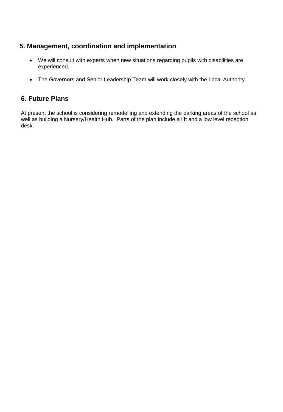## **5. Management, coordination and implementation**

- We will consult with experts when new situations regarding pupils with disabilities are experienced.
- The Governors and Senior Leadership Team will work closely with the Local Authority.

#### **6. Future Plans**

At present the school is considering remodelling and extending the parking areas of the school as well as building a Nursery/Health Hub. Parts of the plan include a lift and a low level reception desk.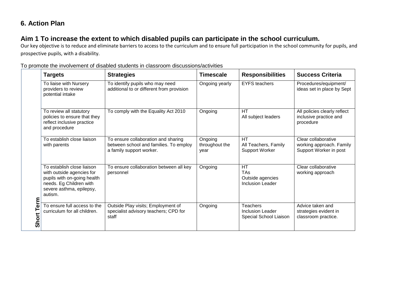## **6. Action Plan**

## **Aim 1 To increase the extent to which disabled pupils can participate in the school curriculum.**

Our key objective is to reduce and eliminate barriers to access to the curriculum and to ensure full participation in the school community for pupils, and prospective pupils, with a disability.

|                                | <b>Targets</b>                                                                                                                                           | <b>Strategies</b>                                                                                         | Timescale                         | <b>Responsibilities</b>                                                | <b>Success Criteria</b>                                                   |
|--------------------------------|----------------------------------------------------------------------------------------------------------------------------------------------------------|-----------------------------------------------------------------------------------------------------------|-----------------------------------|------------------------------------------------------------------------|---------------------------------------------------------------------------|
| erm<br>⊢<br>Short <sup>-</sup> | To liaise with Nursery<br>providers to review<br>potential intake                                                                                        | To identify pupils who may need<br>additional to or different from provision                              | Ongoing yearly                    | <b>EYFS</b> teachers                                                   | Procedures/equipment/<br>ideas set in place by Sept                       |
|                                | To review all statutory<br>policies to ensure that they<br>reflect inclusive practice<br>and procedure                                                   | To comply with the Equality Act 2010                                                                      | Ongoing                           | HT<br>All subject leaders                                              | All policies clearly reflect<br>inclusive practice and<br>procedure       |
|                                | To establish close liaison<br>with parents                                                                                                               | To ensure collaboration and sharing<br>between school and families. To employ<br>a family support worker. | Ongoing<br>throughout the<br>year | <b>HT</b><br>All Teachers, Family<br>Support Worker                    | Clear collaborative<br>working approach. Family<br>Support Worker in post |
|                                | To establish close liaison<br>with outside agencies for<br>pupils with on-going health<br>needs. Eg Children with<br>severe asthma, epilepsy,<br>autism. | To ensure collaboration between all key<br>personnel                                                      | Ongoing                           | <b>HT</b><br><b>TAs</b><br>Outside agencies<br><b>Inclusion Leader</b> | Clear collaborative<br>working approach                                   |
|                                | To ensure full access to the<br>curriculum for all children.                                                                                             | Outside Play visits; Employment of<br>specialist advisory teachers; CPD for<br>staff                      | Ongoing                           | <b>Teachers</b><br>Inclusion Leader<br>Special School Liaison          | Advice taken and<br>strategies evident in<br>classroom practice.          |

#### To promote the involvement of disabled students in classroom discussions/activities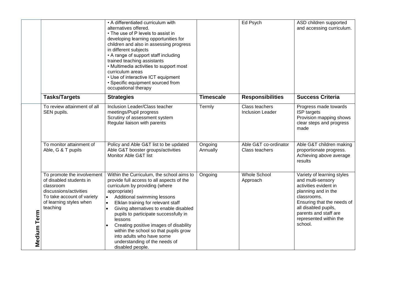|             |                                                                                                                                                                   | • A differentiated curriculum with<br>alternatives offered.<br>• The use of P levels to assist in<br>developing learning opportunities for<br>children and also in assessing progress<br>in different subjects<br>• A range of support staff including<br>trained teaching assistants<br>• Multimedia activities to support most<br>curriculum areas<br>• Use of interactive ICT equipment<br>• Specific equipment sourced from<br>occupational therapy                                                    |                     | Ed Psych                                  | ASD children supported<br>and accessing curriculum.                                                                                                                                                                                |
|-------------|-------------------------------------------------------------------------------------------------------------------------------------------------------------------|------------------------------------------------------------------------------------------------------------------------------------------------------------------------------------------------------------------------------------------------------------------------------------------------------------------------------------------------------------------------------------------------------------------------------------------------------------------------------------------------------------|---------------------|-------------------------------------------|------------------------------------------------------------------------------------------------------------------------------------------------------------------------------------------------------------------------------------|
|             | <b>Tasks/Targets</b>                                                                                                                                              | <b>Strategies</b>                                                                                                                                                                                                                                                                                                                                                                                                                                                                                          | <b>Timescale</b>    | <b>Responsibilities</b>                   | <b>Success Criteria</b>                                                                                                                                                                                                            |
|             | To review attainment of all<br>SEN pupils.                                                                                                                        | Inclusion Leader/Class teacher<br>meetings/Pupil progress<br>Scrutiny of assessment system<br>Regular liaison with parents                                                                                                                                                                                                                                                                                                                                                                                 | Termly              | Class teachers<br><b>Inclusion Leader</b> | Progress made towards<br>ISP targets<br>Provision mapping shows<br>clear steps and progress<br>made                                                                                                                                |
|             | To monitor attainment of<br>Able, G & T pupils                                                                                                                    | Policy and Able G&T list to be updated<br>Able G&T booster groups/activities<br>Monitor Able G&T list                                                                                                                                                                                                                                                                                                                                                                                                      | Ongoing<br>Annually | Able G&T co-ordinator<br>Class teachers   | Able G&T children making<br>proportionate progress.<br>Achieving above average<br>results                                                                                                                                          |
| Medium Term | To promote the involvement<br>of disabled students in<br>classroom<br>discussions/activities<br>To take account of variety<br>of learning styles when<br>teaching | Within the Curriculum, the school aims to<br>provide full access to all aspects of the<br>curriculum by providing (where<br>appropriate)<br>Additional swimming lessons<br>$\bullet$<br>Elklan training for relevant staff<br>$\bullet$<br>Giving alternatives to enable disabled<br>pupils to participate successfully in<br>lessons<br>Creating positive images of disability<br>within the school so that pupils grow<br>into adults who have some<br>understanding of the needs of<br>disabled people. | Ongoing             | <b>Whole School</b><br>Approach           | Variety of learning styles<br>and multi-sensory<br>activities evident in<br>planning and in the<br>classrooms.<br>Ensuring that the needs of<br>all disabled pupils,<br>parents and staff are<br>represented within the<br>school. |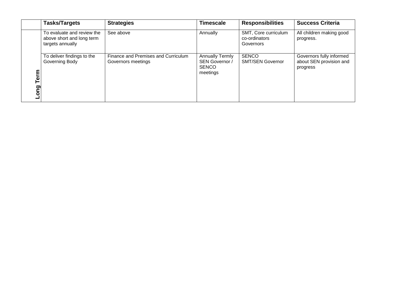|             | <b>Tasks/Targets</b>                                                        | <b>Strategies</b>                                         | <b>Timescale</b>                                                     | <b>Responsibilities</b>                            | <b>Success Criteria</b>                                         |
|-------------|-----------------------------------------------------------------------------|-----------------------------------------------------------|----------------------------------------------------------------------|----------------------------------------------------|-----------------------------------------------------------------|
| Term<br>puo | To evaluate and review the<br>above short and long term<br>targets annually | See above                                                 | Annually                                                             | SMT, Core curriculum<br>co-ordinators<br>Governors | All children making good<br>progress.                           |
|             | To deliver findings to the<br>Governing Body                                | Finance and Premises and Curriculum<br>Governors meetings | <b>Annually Termly</b><br>SEN Governor /<br><b>SENCO</b><br>meetings | <b>SENCO</b><br><b>SMT/SEN Governor</b>            | Governors fully informed<br>about SEN provision and<br>progress |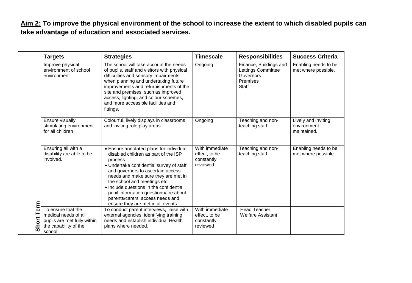**Aim 2: To improve the physical environment of the school to increase the extent to which disabled pupils can take advantage of education and associated services.**

| Term<br>Short | <b>Targets</b>                                                                                               | <b>Strategies</b>                                                                                                                                                                                                                                                                                                                                                                                               | <b>Timescale</b>                                          | <b>Responsibilities</b>                                                        | <b>Success Criteria</b>                           |
|---------------|--------------------------------------------------------------------------------------------------------------|-----------------------------------------------------------------------------------------------------------------------------------------------------------------------------------------------------------------------------------------------------------------------------------------------------------------------------------------------------------------------------------------------------------------|-----------------------------------------------------------|--------------------------------------------------------------------------------|---------------------------------------------------|
|               | Improve physical<br>environment of school<br>environment                                                     | The school will take account the needs<br>of pupils, staff and visitors with physical<br>difficulties and sensory impairments<br>when planning and undertaking future<br>improvements and refurbishments of the<br>site and premises, such as improved<br>access, lighting, and colour schemes,<br>and more accessible facilities and<br>fittings.                                                              | Ongoing                                                   | Finance, Buildings and<br>Lettings Committee<br>Governors<br>Premises<br>Staff | Enabling needs to be<br>met where possible.       |
|               | Ensure visually<br>stimulating environment<br>for all children                                               | Colourful, lively displays in classrooms<br>and inviting role play areas.                                                                                                                                                                                                                                                                                                                                       | Ongoing                                                   | Teaching and non-<br>teaching staff                                            | Lively and inviting<br>environment<br>maintained. |
|               | Ensuring all with a<br>disability are able to be<br>involved.                                                | • Ensure annotated plans for individual<br>disabled children as part of the ISP<br>process<br>• Undertake confidential survey of staff<br>and governors to ascertain access<br>needs and make sure they are met in<br>the school and meetings etc.<br>• Include questions in the confidential<br>pupil information questionnaire about<br>parents/carers' access needs and<br>ensure they are met in all events | With immediate<br>effect, to be<br>constantly<br>reviewed | Teaching and non-<br>teaching staff                                            | Enabling needs to be<br>met where possible        |
|               | To ensure that the<br>medical needs of all<br>pupils are met fully within<br>the capability of the<br>school | To conduct parent interviews, liaise with<br>external agencies, identifying training<br>needs and establish individual Health<br>plans where needed.                                                                                                                                                                                                                                                            | With immediate<br>effect, to be<br>constantly<br>reviewed | <b>Head Teacher</b><br><b>Welfare Assistant</b>                                |                                                   |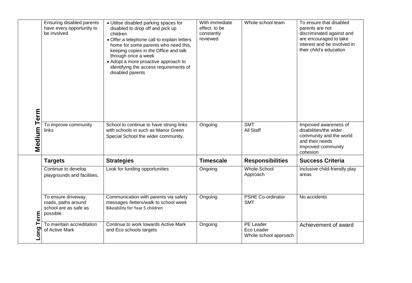|                     | Ensuring disabled parents<br>have every opportunity to<br>be involved            | • Utilise disabled parking spaces for<br>disabled to drop off and pick up<br>children<br>• Offer a telephone call to explain letters<br>home for some parents who need this,<br>keeping copies in the Office and talk<br>through once a week<br>• Adopt a more proactive approach to<br>identifying the access requirements of<br>disabled parents | With immediate<br>effect, to be<br>constantly<br>reviewed | Whole school team                                | To ensure that disabled<br>parents are not<br>discriminated against and<br>are encouraged to take<br>interest and be involved in<br>their child's education |
|---------------------|----------------------------------------------------------------------------------|----------------------------------------------------------------------------------------------------------------------------------------------------------------------------------------------------------------------------------------------------------------------------------------------------------------------------------------------------|-----------------------------------------------------------|--------------------------------------------------|-------------------------------------------------------------------------------------------------------------------------------------------------------------|
| Medium Term         | To improve community<br>links                                                    | School to continue to have strong links<br>with schools in such as Manor Green<br>Special School the wider community.                                                                                                                                                                                                                              | Ongoing                                                   | <b>SMT</b><br><b>All Staff</b>                   | Improved awareness of<br>disabilities/the wider<br>community and the world<br>and their needs<br>Improved community<br>cohesion                             |
|                     | <b>Targets</b>                                                                   | <b>Strategies</b>                                                                                                                                                                                                                                                                                                                                  | <b>Timescale</b>                                          | <b>Responsibilities</b>                          | <b>Success Criteria</b>                                                                                                                                     |
|                     | Continue to develop<br>playgrounds and facilities.                               | Look for funding opportunities                                                                                                                                                                                                                                                                                                                     | Ongoing                                                   | <b>Whole School</b><br>Approach                  | Inclusive child-friendly play<br>areas                                                                                                                      |
| Term<br><b>Long</b> | To ensure driveway,<br>roads, paths around<br>school are as safe as<br>possible. | Communication with parents via safety<br>messages /letters/walk to school week<br>Bikeability for Year 5 children                                                                                                                                                                                                                                  | Ongoing                                                   | <b>PSHE Co-ordinator</b><br><b>SMT</b>           | No accidents                                                                                                                                                |
|                     | To maintain accreditation<br>of Active Mark                                      | Continue to work towards Active Mark<br>and Eco schools targets                                                                                                                                                                                                                                                                                    | Ongoing                                                   | PE Leader<br>Eco Leader<br>Whole school approach | Achievement of award                                                                                                                                        |